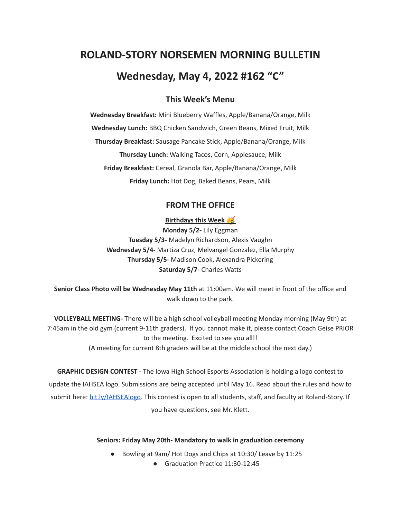# **ROLAND-STORY NORSEMEN MORNING BULLETIN Wednesday, May 4, 2022 #162 "C"**

## **This Week's Menu**

**Wednesday Breakfast:** Mini Blueberry Waffles, Apple/Banana/Orange, Milk **Wednesday Lunch:** BBQ Chicken Sandwich, Green Beans, Mixed Fruit, Milk **Thursday Breakfast:** Sausage Pancake Stick, Apple/Banana/Orange, Milk **Thursday Lunch:** Walking Tacos, Corn, Applesauce, Milk **Friday Breakfast:** Cereal, Granola Bar, Apple/Banana/Orange, Milk **Friday Lunch:** Hot Dog, Baked Beans, Pears, Milk

# **FROM THE OFFICE**

**Birthdays this Week**

**Monday 5/2-** Lily Eggman **Tuesday 5/3-** Madelyn Richardson, Alexis Vaughn **Wednesday 5/4-** Martiza Cruz, Melvangel Gonzalez, Ella Murphy **Thursday 5/5-** Madison Cook, Alexandra Pickering **Saturday 5/7-** Charles Watts

**Senior Class Photo will be Wednesday May 11th** at 11:00am. We will meet in front of the office and walk down to the park.

**VOLLEYBALL MEETING-** There will be a high school volleyball meeting Monday morning (May 9th) at 7:45am in the old gym (current 9-11th graders). If you cannot make it, please contact Coach Geise PRIOR to the meeting. Excited to see you all!! (A meeting for current 8th graders will be at the middle school the next day.)

**GRAPHIC DESIGN CONTEST -** The Iowa High School Esports Association is holding a logo contest to update the IAHSEA logo. Submissions are being accepted until May 16. Read about the rules and how to submit here: [bit.ly/IAHSEAlogo.](http://bit.ly/IAHSEAlogo) This contest is open to all students, staff, and faculty at Roland-Story. If you have questions, see Mr. Klett.

#### **Seniors: Friday May 20th- Mandatory to walk in graduation ceremony**

- Bowling at 9am/ Hot Dogs and Chips at 10:30/ Leave by 11:25
	- Graduation Practice 11:30-12:45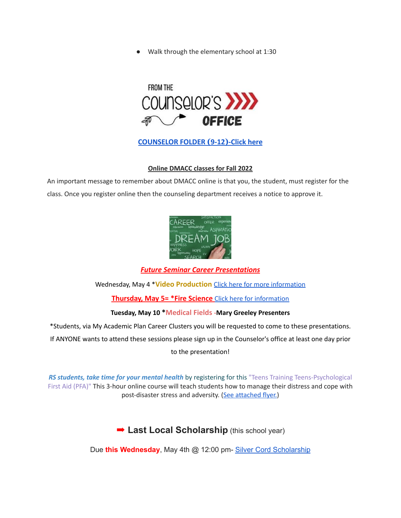● Walk through the elementary school at 1:30



## **[COUNSELOR FOLDER](https://docs.google.com/document/d/1vmwczNPbDzXe9vFaG5LJMQ7NYDv-i4oQJHybqA65TUc/edit?usp=sharing) (9-12)-Click here**

#### **Online DMACC classes for Fall 2022**

An important message to remember about DMACC online is that you, the student, must register for the class. Once you register online then the counseling department receives a notice to approve it.



#### *Future Seminar Career Presentations*

#### Wednesday, May 4 \***Video Production** Click here for more [information](https://www.dmacc.edu/programs/video/Pages/welcome.aspx)

#### **Thursday, May 5= \*Fire Science** Click here for [information](https://www.dmacc.edu/programs/fire/Pages/welcome.aspx)

#### **Tuesday, May 10 \*Medical Fields -Mary Greeley Presenters**

\*Students, via My Academic Plan Career Clusters you will be requested to come to these presentations.

If ANYONE wants to attend these sessions please sign up in the Counselor's office at least one day prior

to the presentation!

*RS students, take time for your mental health* by registering for this "Teens Training Teens-Psychological First Aid (PFA)" This 3-hour online course will teach students how to manage their distress and cope with post-disaster stress and adversity. (See [attached](https://drive.google.com/file/d/18ZxsDgb9mTVccDP5AD1ejwqoEi1MNUwE/view?usp=sharing) flyer.)

# ➡︎ **Last Local Scholarship** (this school year)

Due **this Wednesday**, May 4th @ 12:00 pm- Silver Cord [Scholarship](https://docs.google.com/document/d/12og0k5MTIc1OeFEzEig2sJZbI5ykSKtMlEJRu1iKhdA/edit?usp=sharing)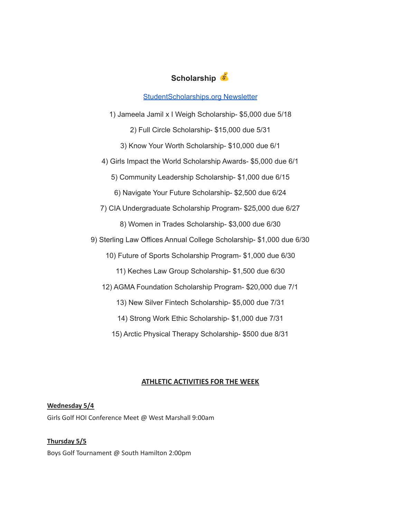

[StudentScholarships.org](https://drive.google.com/file/d/1qEKcx3GVK6vi8DB_QD_Px65Do1Dedcz6/view?usp=sharing) Newsletter

1) Jameela Jamil x I Weigh Scholarship- \$5,000 due 5/18 2) Full Circle Scholarship- \$15,000 due 5/31 3) Know Your Worth Scholarship- \$10,000 due 6/1 4) Girls Impact the World Scholarship Awards- \$5,000 due 6/1 5) Community Leadership Scholarship- \$1,000 due 6/15 6) Navigate Your Future Scholarship- \$2,500 due 6/24 7) CIA Undergraduate Scholarship Program- \$25,000 due 6/27 8) Women in Trades Scholarship- \$3,000 due 6/30 9) Sterling Law Offices Annual College Scholarship- \$1,000 due 6/30 10) Future of Sports Scholarship Program- \$1,000 due 6/30 11) Keches Law Group Scholarship- \$1,500 due 6/30 12) AGMA Foundation Scholarship Program- \$20,000 due 7/1 13) New Silver Fintech Scholarship- \$5,000 due 7/31 14) Strong Work Ethic Scholarship- \$1,000 due 7/31 15) Arctic Physical Therapy Scholarship- \$500 due 8/31

## **ATHLETIC ACTIVITIES FOR THE WEEK**

**Wednesday 5/4** Girls Golf HOI Conference Meet @ West Marshall 9:00am

**Thursday 5/5** Boys Golf Tournament @ South Hamilton 2:00pm